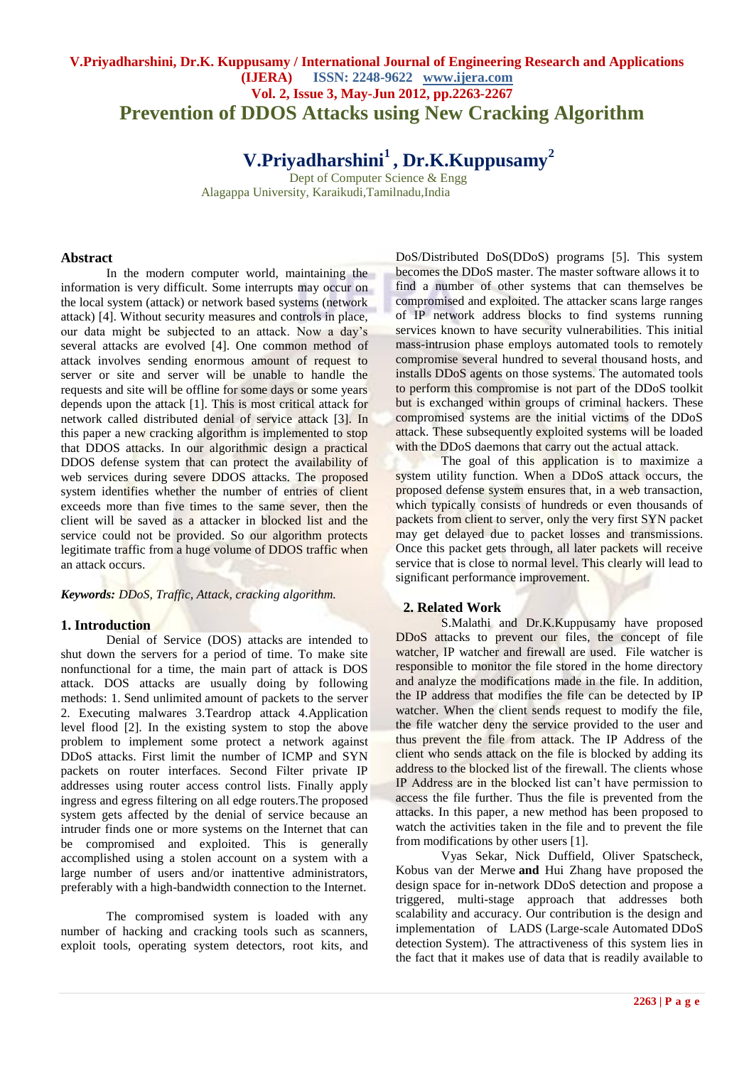# **V.Priyadharshini, Dr.K. Kuppusamy / International Journal of Engineering Research and Applications (IJERA) ISSN: 2248-9622 www.ijera.com Vol. 2, Issue 3, May-Jun 2012, pp.2263-2267 Prevention of DDOS Attacks using New Cracking Algorithm**

# **V.Priyadharshini<sup>1</sup> , Dr.K.Kuppusamy<sup>2</sup>**

**Dept of Computer Science & Engg.** Alagappa University, Karaikudi,Tamilnadu,India

# **Abstract**

In the modern computer world, maintaining the information is very difficult. Some interrupts may occur on the local system (attack) or network based systems (network attack) [4]. Without security measures and controls in place, our data might be subjected to an attack. Now a day's several attacks are evolved [4]. One common method of attack involves sending enormous amount of request to server or site and server will be unable to handle the requests and site will be offline for some days or some years depends upon the attack [1]. This is most critical attack for network called distributed denial of service attack [3]. In this paper a new cracking algorithm is implemented to stop that DDOS attacks. In our algorithmic design a practical DDOS defense system that can protect the availability of web services during severe DDOS attacks. The proposed system identifies whether the number of entries of client exceeds more than five times to the same sever, then the client will be saved as a attacker in blocked list and the service could not be provided. So our algorithm protects legitimate traffic from a huge volume of DDOS traffic when an attack occurs.

#### *Keywords: DDoS, Traffic, Attack, cracking algorithm.*

#### **1. Introduction**

Denial of Service (DOS) attacks are intended to shut down the servers for a period of time. To make site nonfunctional for a time, the main part of attack is DOS attack. DOS attacks are usually doing by following methods: 1. Send unlimited amount of packets to the server 2. Executing malwares 3.Teardrop attack 4.Application level flood [2]. In the existing system to stop the above problem to implement some protect a network against DDoS attacks. First limit the number of ICMP and SYN packets on router interfaces. Second Filter private IP addresses using router access control lists. Finally apply ingress and egress filtering on all edge routers.The proposed system gets affected by the denial of service because an intruder finds one or more systems on the Internet that can be compromised and exploited. This is generally accomplished using a stolen account on a system with a large number of users and/or inattentive administrators, preferably with a high-bandwidth connection to the Internet.

The compromised system is loaded with any number of hacking and cracking tools such as scanners, exploit tools, operating system detectors, root kits, and

DoS/Distributed DoS(DDoS) programs [5]. This system becomes the DDoS master. The master software allows it to find a number of other systems that can themselves be compromised and exploited. The attacker scans large ranges of IP network address blocks to find systems running services known to have security vulnerabilities. This initial mass-intrusion phase employs automated tools to remotely compromise several hundred to several thousand hosts, and installs DDoS agents on those systems. The automated tools to perform this compromise is not part of the DDoS toolkit but is exchanged within groups of criminal hackers. These compromised systems are the initial victims of the DDoS attack. These subsequently exploited systems will be loaded with the DDoS daemons that carry out the actual attack.

The goal of this application is to maximize a system utility function. When a DDoS attack occurs, the proposed defense system ensures that, in a web transaction, which typically consists of hundreds or even thousands of packets from client to server, only the very first SYN packet may get delayed due to packet losses and transmissions. Once this packet gets through, all later packets will receive service that is close to normal level. This clearly will lead to significant performance improvement.

#### **2. Related Work**

S.Malathi and Dr.K.Kuppusamy have proposed DDoS attacks to prevent our files, the concept of file watcher, IP watcher and firewall are used. File watcher is responsible to monitor the file stored in the home directory and analyze the modifications made in the file. In addition, the IP address that modifies the file can be detected by IP watcher. When the client sends request to modify the file, the file watcher deny the service provided to the user and thus prevent the file from attack. The IP Address of the client who sends attack on the file is blocked by adding its address to the blocked list of the firewall. The clients whose IP Address are in the blocked list can't have permission to access the file further. Thus the file is prevented from the attacks. In this paper, a new method has been proposed to watch the activities taken in the file and to prevent the file from modifications by other users [1].

Vyas Sekar, Nick Duffield, Oliver Spatscheck, Kobus van der Merwe **and** Hui Zhang have proposed the design space for in-network DDoS detection and propose a triggered, multi-stage approach that addresses both scalability and accuracy. Our contribution is the design and implementation of LADS (Large-scale Automated DDoS detection System). The attractiveness of this system lies in the fact that it makes use of data that is readily available to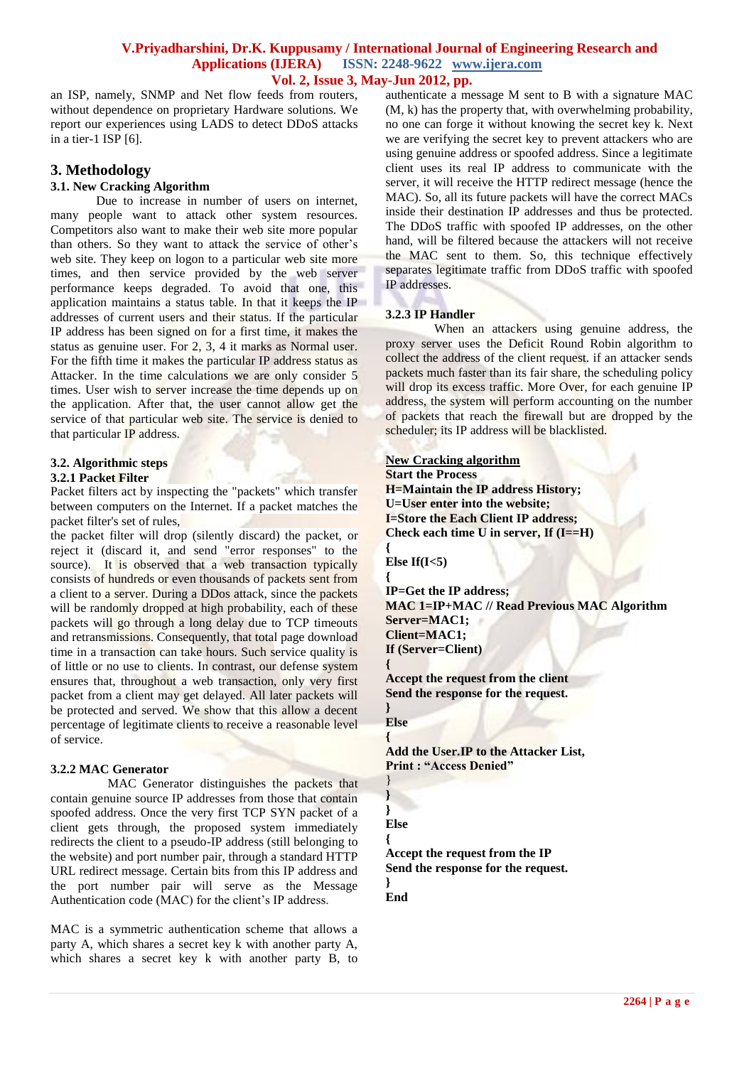#### **V.Priyadharshini, Dr.K. Kuppusamy / International Journal of Engineering Research and Applications (IJERA) ISSN: 2248-9622 www.ijera.com Vol. 2, Issue 3, May-Jun 2012, pp.**

an ISP, namely, SNMP and Net flow feeds from routers, without dependence on proprietary Hardware solutions. We report our experiences using LADS to detect DDoS attacks in a tier-1 ISP [6].

# **3. Methodology**

# **3.1. New Cracking Algorithm**

Due to increase in number of users on internet, many people want to attack other system resources. Competitors also want to make their web site more popular than others. So they want to attack the service of other's web site. They keep on logon to a particular web site more times, and then service provided by the web server performance keeps degraded. To avoid that one, this application maintains a status table. In that it keeps the IP addresses of current users and their status. If the particular IP address has been signed on for a first time, it makes the status as genuine user. For 2, 3, 4 it marks as Normal user. For the fifth time it makes the particular IP address status as Attacker. In the time calculations we are only consider 5 times. User wish to server increase the time depends up on the application. After that, the user cannot allow get the service of that particular web site. The service is denied to that particular IP address.

#### **3.2. Algorithmic steps 3.2.1 Packet Filter**

Packet filters act by inspecting the "packets" which transfer between computers on the Internet. If a packet matches the packet filter's set of rules,

the packet filter will drop (silently discard) the packet, or reject it (discard it, and send "error responses" to the source). It is observed that a web transaction typically consists of hundreds or even thousands of packets sent from a client to a server. During a DDos attack, since the packets will be randomly dropped at high probability, each of these packets will go through a long delay due to TCP timeouts and retransmissions. Consequently, that total page download time in a transaction can take hours. Such service quality is of little or no use to clients. In contrast, our defense system ensures that, throughout a web transaction, only very first packet from a client may get delayed. All later packets will be protected and served. We show that this allow a decent percentage of legitimate clients to receive a reasonable level of service.

#### **3.2.2 MAC Generator**

 MAC Generator distinguishes the packets that contain genuine source IP addresses from those that contain spoofed address. Once the very first TCP SYN packet of a client gets through, the proposed system immediately redirects the client to a pseudo-IP address (still belonging to the website) and port number pair, through a standard HTTP URL redirect message. Certain bits from this IP address and the port number pair will serve as the Message Authentication code (MAC) for the client's IP address.

MAC is a symmetric authentication scheme that allows a party A, which shares a secret key k with another party A, which shares a secret key k with another party B, to

authenticate a message M sent to B with a signature MAC (M, k) has the property that, with overwhelming probability, no one can forge it without knowing the secret key k. Next we are verifying the secret key to prevent attackers who are using genuine address or spoofed address. Since a legitimate client uses its real IP address to communicate with the server, it will receive the HTTP redirect message (hence the MAC). So, all its future packets will have the correct MACs inside their destination IP addresses and thus be protected. The DDoS traffic with spoofed IP addresses, on the other hand, will be filtered because the attackers will not receive the MAC sent to them. So, this technique effectively separates legitimate traffic from DDoS traffic with spoofed IP addresses.

# **3.2.3 IP Handler**

When an attackers using genuine address, the proxy server uses the Deficit Round Robin algorithm to collect the address of the client request. if an attacker sends packets much faster than its fair share, the scheduling policy will drop its excess traffic. More Over, for each genuine IP address, the system will perform accounting on the number of packets that reach the firewall but are dropped by the scheduler; its IP address will be blacklisted.

# **New Cracking algorithm**

**Start the Process H=Maintain the IP address History; U=User enter into the website; I=Store the Each Client IP address; Check each time U in server, If (I==H)**

**{ Else If(I<5)**

**{ IP=Get the IP address; MAC 1=IP+MAC // Read Previous MAC Algorithm Server=MAC1; Client=MAC1; If (Server=Client) {**

**Accept the request from the client Send the response for the request.**

**Else**

**}**

**{**

} **}**

**Add the User.IP to the Attacker List, Print : "Access Denied"**

#### **} Else**

**{ Accept the request from the IP Send the response for the request. }**

# **End**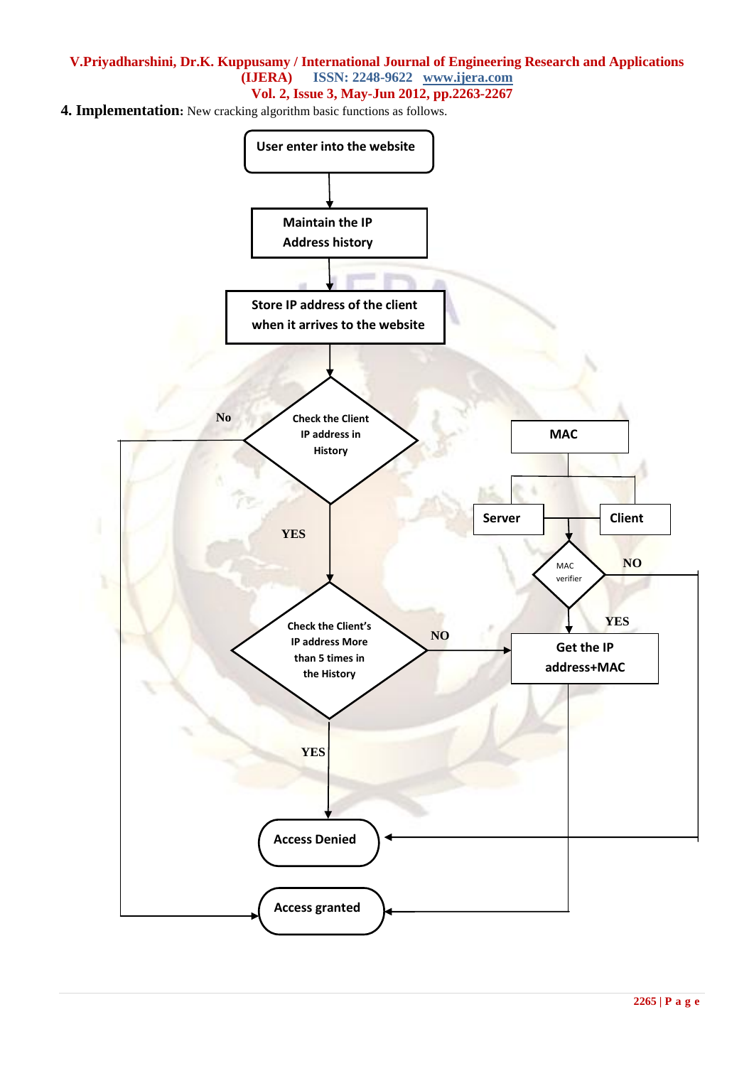# **V.Priyadharshini, Dr.K. Kuppusamy / International Journal of Engineering Research and Applications (IJERA) ISSN: 2248-9622 www.ijera.com Vol. 2, Issue 3, May-Jun 2012, pp.2263-2267**

**4. Implementation:** New cracking algorithm basic functions as follows.

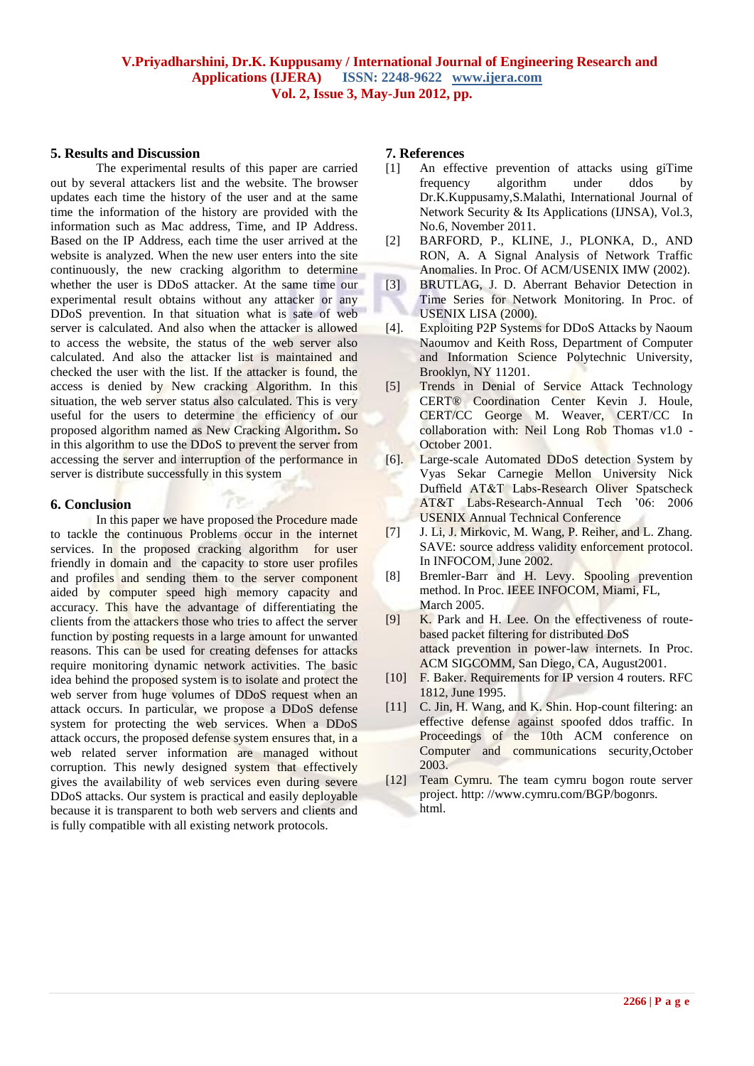# **5. Results and Discussion**

The experimental results of this paper are carried out by several attackers list and the website. The browser updates each time the history of the user and at the same time the information of the history are provided with the information such as Mac address, Time, and IP Address. Based on the IP Address, each time the user arrived at the website is analyzed. When the new user enters into the site continuously, the new cracking algorithm to determine whether the user is DDoS attacker. At the same time our experimental result obtains without any attacker or any DDoS prevention. In that situation what is sate of web server is calculated. And also when the attacker is allowed to access the website, the status of the web server also calculated. And also the attacker list is maintained and checked the user with the list. If the attacker is found, the access is denied by New cracking Algorithm. In this situation, the web server status also calculated. This is very useful for the users to determine the efficiency of our proposed algorithm named as New Cracking Algorithm**.** So in this algorithm to use the DDoS to prevent the server from accessing the server and interruption of the performance in server is distribute successfully in this system

#### **6. Conclusion**

In this paper we have proposed the Procedure made to tackle the continuous Problems occur in the internet services. In the proposed cracking algorithm for user friendly in domain and the capacity to store user profiles and profiles and sending them to the server component aided by computer speed high memory capacity and accuracy. This have the advantage of differentiating the clients from the attackers those who tries to affect the server function by posting requests in a large amount for unwanted reasons. This can be used for creating defenses for attacks require monitoring dynamic network activities. The basic idea behind the proposed system is to isolate and protect the web server from huge volumes of DDoS request when an attack occurs. In particular, we propose a DDoS defense system for protecting the web services. When a DDoS attack occurs, the proposed defense system ensures that, in a web related server information are managed without corruption. This newly designed system that effectively gives the availability of web services even during severe DDoS attacks. Our system is practical and easily deployable because it is transparent to both web servers and clients and is fully compatible with all existing network protocols.

# **7. References**

- [1] An effective prevention of attacks using giTime frequency algorithm under ddos by Dr.K.Kuppusamy,S.Malathi, International Journal of Network Security & Its Applications (IJNSA), Vol.3, No.6, November 2011.
- [2] BARFORD, P., KLINE, J., PLONKA, D., AND RON, A. A Signal Analysis of Network Traffic Anomalies. In Proc. Of ACM/USENIX IMW (2002).
- [3] BRUTLAG, J. D. Aberrant Behavior Detection in Time Series for Network Monitoring. In Proc. of USENIX LISA (2000).
- [4]. Exploiting P2P Systems for DDoS Attacks by Naoum Naoumov and Keith Ross, Department of Computer and Information Science Polytechnic University, Brooklyn, NY 11201.
- [5] Trends in Denial of Service Attack Technology CERT® Coordination Center Kevin J. Houle, CERT/CC George M. Weaver, CERT/CC In collaboration with: Neil Long Rob Thomas v1.0 - October 2001.
- [6]. Large-scale Automated DDoS detection System by Vyas Sekar Carnegie Mellon University Nick Duffield AT&T Labs-Research Oliver Spatscheck AT&T Labs-Research-Annual Tech '06: 2006 USENIX Annual Technical Conference
- [7] J. Li, J. Mirkovic, M. Wang, P. Reiher, and L. Zhang. SAVE: source address validity enforcement protocol. In INFOCOM, June 2002.
- [8] Bremler-Barr and H. Levy. Spooling prevention method. In Proc. IEEE INFOCOM, Miami, FL, March 2005.
- [9] K. Park and H. Lee. On the effectiveness of routebased packet filtering for distributed DoS attack prevention in power-law internets. In Proc. ACM SIGCOMM, San Diego, CA, August2001.
- [10] F. Baker. Requirements for IP version 4 routers. RFC 1812, June 1995.
- [11] C. Jin, H. Wang, and K. Shin. Hop-count filtering: an effective defense against spoofed ddos traffic. In Proceedings of the 10th ACM conference on Computer and communications security,October 2003.
- [12] Team Cymru. The team cymru bogon route server project. http: //www.cymru.com/BGP/bogonrs. html.